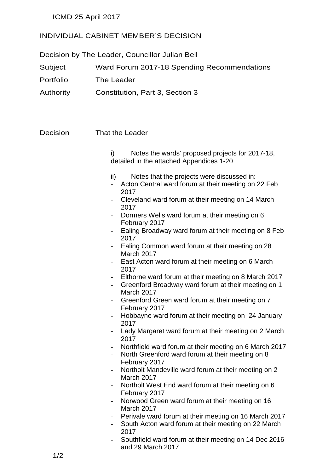ICMD 25 April 2017

### INDIVIDUAL CABINET MEMBER'S DECISION

Decision by The Leader, Councillor Julian Bell Subject Ward Forum 2017-18 Spending Recommendations Portfolio The Leader Authority Constitution, Part 3, Section 3

| Decision | That the Leader                                                                                                                      |
|----------|--------------------------------------------------------------------------------------------------------------------------------------|
|          | Notes the wards' proposed projects for 2017-18,<br>i)<br>detailed in the attached Appendices 1-20                                    |
|          | Notes that the projects were discussed in:<br>ii)<br>Acton Central ward forum at their meeting on 22 Feb<br>$\overline{\phantom{0}}$ |
|          | 2017<br>Cleveland ward forum at their meeting on 14 March<br>2017                                                                    |
|          | Dormers Wells ward forum at their meeting on 6<br>February 2017                                                                      |
|          | Ealing Broadway ward forum at their meeting on 8 Feb<br>2017                                                                         |
|          | Ealing Common ward forum at their meeting on 28<br>March 2017                                                                        |
|          | East Acton ward forum at their meeting on 6 March<br>2017                                                                            |
|          | Elthorne ward forum at their meeting on 8 March 2017<br>Greenford Broadway ward forum at their meeting on 1<br>March 2017            |
|          | Greenford Green ward forum at their meeting on 7<br>February 2017                                                                    |
|          | Hobbayne ward forum at their meeting on 24 January<br>2017                                                                           |
|          | Lady Margaret ward forum at their meeting on 2 March<br>2017                                                                         |
|          | Northfield ward forum at their meeting on 6 March 2017<br>North Greenford ward forum at their meeting on 8<br>February 2017          |
|          | Northolt Mandeville ward forum at their meeting on 2<br>March 2017                                                                   |
|          | Northolt West End ward forum at their meeting on 6<br>February 2017                                                                  |
|          | Norwood Green ward forum at their meeting on 16<br>March 2017                                                                        |
|          | Perivale ward forum at their meeting on 16 March 2017<br>South Acton ward forum at their meeting on 22 March<br>2017                 |
|          | Southfield ward forum at their meeting on 14 Dec 2016<br>$\overline{\phantom{a}}$<br>and 29 March 2017                               |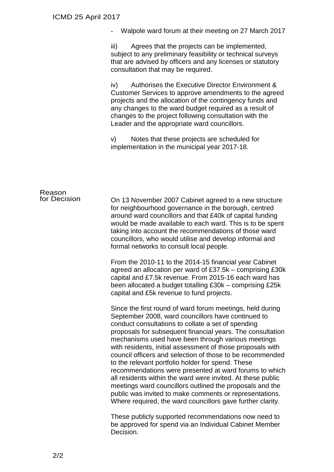|  | Walpole ward forum at their meeting on 27 March 2017 |
|--|------------------------------------------------------|
|--|------------------------------------------------------|

iii) Agrees that the projects can be implemented, subject to any preliminary feasibility or technical surveys that are advised by officers and any licenses or statutory consultation that may be required.

iv) Authorises the Executive Director Environment & Customer Services to approve amendments to the agreed projects and the allocation of the contingency funds and any changes to the ward budget required as a result of changes to the project following consultation with the Leader and the appropriate ward councillors.

v) Notes that these projects are scheduled for implementation in the municipal year 2017-18.

### Reason<br>for Decision On 13 November 2007 Cabinet agreed to a new structure for neighbourhood governance in the borough, centred around ward councillors and that £40k of capital funding would be made available to each ward. This is to be spent taking into account the recommendations of those ward councillors, who would utilise and develop informal and formal networks to consult local people. From the 2010-11 to the 2014-15 financial year Cabinet agreed an allocation per ward of £37.5k – comprising £30k capital and £7.5k revenue. From 2015-16 each ward has been allocated a budget totalling £30k – comprising £25k capital and £5k revenue to fund projects. Since the first round of ward forum meetings, held during September 2008, ward councillors have continued to conduct consultations to collate a set of spending proposals for subsequent financial years. The consultation mechanisms used have been through various meetings with residents, initial assessment of those proposals with council officers and selection of those to be recommended to the relevant portfolio holder for spend. These

recommendations were presented at ward forums to which all residents within the ward were invited. At these public meetings ward councillors outlined the proposals and the public was invited to make comments or representations. Where required, the ward councillors gave further clarity.

These publicly supported recommendations now need to be approved for spend via an Individual Cabinet Member Decision.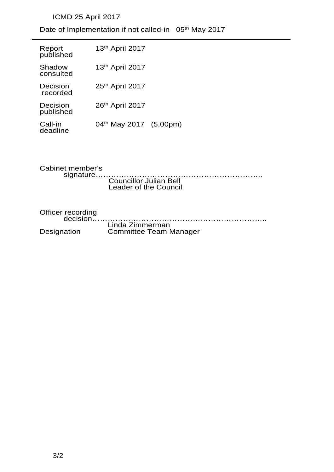## ICMD 25 April 2017

Date of Implementation if not called-in 05<sup>th</sup> May 2017

| Report<br>published   | 13 <sup>th</sup> April 2017        |  |
|-----------------------|------------------------------------|--|
| Shadow<br>consulted   | 13th April 2017                    |  |
| Decision<br>recorded  | 25th April 2017                    |  |
| Decision<br>published | 26th April 2017                    |  |
| Call-in<br>deadline   | 04 <sup>th</sup> May 2017 (5.00pm) |  |

Cabinet member's signature……………………………………………………….. Councillor Julian Bell Leader of the Council Officer recording<br>decision....... decision………………………………………………………….. Linda Zimmerman

**Committee Team Manager** 

3/2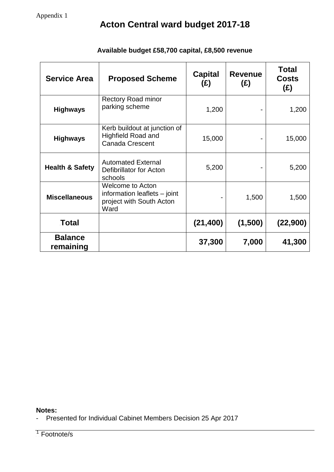| <b>Service Area</b>         | <b>Proposed Scheme</b>                                                                        | <b>Capital</b><br>(E) | <b>Revenue</b><br>(E) | <b>Total</b><br><b>Costs</b><br>(E) |
|-----------------------------|-----------------------------------------------------------------------------------------------|-----------------------|-----------------------|-------------------------------------|
| <b>Highways</b>             | <b>Rectory Road minor</b><br>parking scheme                                                   | 1,200                 |                       | 1,200                               |
| <b>Highways</b>             | Kerb buildout at junction of<br><b>Highfield Road and</b><br><b>Canada Crescent</b>           | 15,000                |                       | 15,000                              |
| <b>Health &amp; Safety</b>  | <b>Automated External</b><br>Defibrillator for Acton<br>schools                               | 5,200                 |                       | 5,200                               |
| <b>Miscellaneous</b>        | <b>Welcome to Acton</b><br>information leaflets $-$ joint<br>project with South Acton<br>Ward |                       | 1,500                 | 1,500                               |
| <b>Total</b>                |                                                                                               | (21, 400)             | (1,500)               | (22,900)                            |
| <b>Balance</b><br>remaining |                                                                                               | 37,300                | 7,000                 | 41,300                              |

## **Available budget £58,700 capital, £8,500 revenue**

#### **Notes:**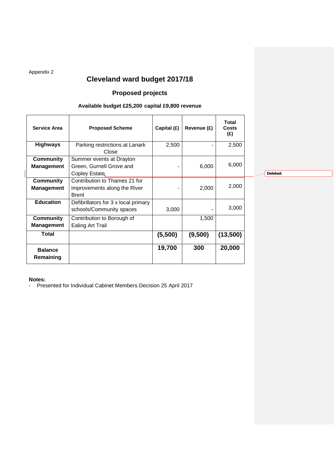Appendix 2

## **Cleveland ward budget 2017/18**

### **Proposed projects**

#### **Available budget £25,200 capital £9,800 revenue**

| <b>Service Area</b>            | <b>Proposed Scheme</b>                                                        | Capital (£) | Revenue (£) | <b>Total</b><br>Costs<br>(E) |          |
|--------------------------------|-------------------------------------------------------------------------------|-------------|-------------|------------------------------|----------|
| <b>Highways</b>                | Parking restrictions at Lanark<br>Close                                       | 2,500       |             | 2,500                        |          |
| Community<br><b>Management</b> | Summer events at Drayton<br>Green, Gurnell Grove and<br>Copley Estate         |             | 6,000       | 6,000                        | Deleted: |
| Community<br><b>Management</b> | Contribution to Thames 21 for<br>improvements along the River<br><b>Brent</b> |             | 2,000       | 2,000                        |          |
| <b>Education</b>               | Defibrillators for 3 x local primary<br>schools/Community spaces              | 3,000       |             | 3,000                        |          |
| Community<br><b>Management</b> | Contribution to Borough of<br><b>Ealing Art Trail</b>                         |             | 1,500       |                              |          |
| Total                          |                                                                               | (5,500)     | (9,500)     | (13,500)                     |          |
| <b>Balance</b><br>Remaining    |                                                                               | 19,700      | 300         | 20,000                       |          |

**Notes:**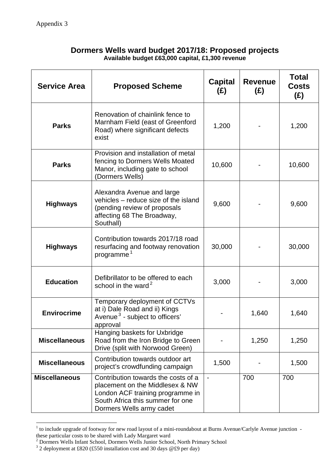### **Dormers Wells ward budget 2017/18: Proposed projects Available budget £63,000 capital, £1,300 revenue**

| <b>Service Area</b>  | <b>Proposed Scheme</b>                                                                                                                                                     | <b>Capital</b><br>(E)    | <b>Revenue</b><br>(E) | <b>Total</b><br><b>Costs</b><br>(E) |
|----------------------|----------------------------------------------------------------------------------------------------------------------------------------------------------------------------|--------------------------|-----------------------|-------------------------------------|
| <b>Parks</b>         | Renovation of chainlink fence to<br>Marnham Field (east of Greenford<br>Road) where significant defects<br>exist                                                           | 1,200                    |                       | 1,200                               |
| <b>Parks</b>         | Provision and installation of metal<br>fencing to Dormers Wells Moated<br>Manor, including gate to school<br>(Dormers Wells)                                               | 10,600                   |                       | 10,600                              |
| <b>Highways</b>      | Alexandra Avenue and large<br>vehicles - reduce size of the island<br>(pending review of proposals<br>affecting 68 The Broadway,<br>Southall)                              | 9,600                    |                       | 9,600                               |
| <b>Highways</b>      | Contribution towards 2017/18 road<br>resurfacing and footway renovation<br>programme. <sup>1</sup>                                                                         | 30,000                   |                       | 30,000                              |
| Education            | Defibrillator to be offered to each<br>school in the ward. <sup>2</sup>                                                                                                    | 3,000                    |                       | 3,000                               |
| Envirocrime          | Temporary deployment of CCTVs<br>at i) Dale Road and ii) Kings<br>Avenue $3$ - subject to officers'<br>approval                                                            |                          | 1,640                 | 1,640                               |
| <b>Miscellaneous</b> | Hanging baskets for Uxbridge<br>Road from the Iron Bridge to Green<br>Drive (split with Norwood Green)                                                                     |                          | 1,250                 | 1,250                               |
| <b>Miscellaneous</b> | Contribution towards outdoor art<br>project's crowdfunding campaign                                                                                                        | 1,500                    |                       | 1,500                               |
| <b>Miscellaneous</b> | Contribution towards the costs of a<br>placement on the Middlesex & NW<br>London ACF training programme in<br>South Africa this summer for one<br>Dormers Wells army cadet | $\overline{\phantom{a}}$ | 700                   | 700                                 |

 $1$  to include upgrade of footway for new road layout of a mini-roundabout at Burns Avenue/Carlyle Avenue junction -

 $\overline{a}$ 

these particular costs to be shared with Lady Margaret ward<br>
<sup>2</sup> Dormers Wells Infant School, Dormers Wells Junior School, North Primary School<br>
<sup>3</sup> 2 deployment at £820 (£550 installation cost and 30 days @£9 per day)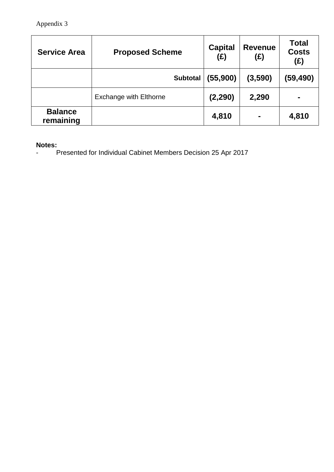| <b>Service Area</b>         | <b>Proposed Scheme</b>        | <b>Capital</b><br>(E) | <b>Revenue</b><br>(E) | <b>Total</b><br><b>Costs</b><br>(£) |
|-----------------------------|-------------------------------|-----------------------|-----------------------|-------------------------------------|
|                             | <b>Subtotal</b>               | (55,900)              | (3,590)               | (59,490)                            |
|                             | <b>Exchange with Elthorne</b> | (2, 290)              | 2,290                 | $\blacksquare$                      |
| <b>Balance</b><br>remaining |                               | 4,810                 | ۰                     | 4,810                               |

**Notes:**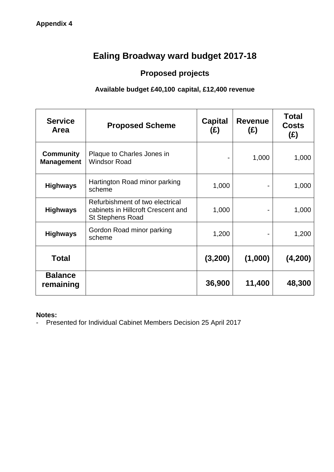# **Ealing Broadway ward budget 2017-18**

## **Proposed projects**

## **Available budget £40,100 capital, £12,400 revenue**

| <b>Service</b><br><b>Area</b>  | <b>Proposed Scheme</b>                                                                           | <b>Capital</b><br>(E) | <b>Revenue</b><br>(E) | <b>Total</b><br><b>Costs</b><br>(E) |
|--------------------------------|--------------------------------------------------------------------------------------------------|-----------------------|-----------------------|-------------------------------------|
| Community<br><b>Management</b> | Plaque to Charles Jones in<br><b>Windsor Road</b>                                                |                       | 1,000                 | 1,000                               |
| <b>Highways</b>                | Hartington Road minor parking<br>scheme                                                          | 1,000                 |                       | 1,000                               |
| <b>Highways</b>                | Refurbishment of two electrical<br>cabinets in Hillcroft Crescent and<br><b>St Stephens Road</b> | 1,000                 |                       | 1,000                               |
| <b>Highways</b>                | Gordon Road minor parking<br>scheme                                                              | 1,200                 |                       | 1,200                               |
| Total                          |                                                                                                  | (3,200)               | (1,000)               | (4,200)                             |
| <b>Balance</b><br>remaining    |                                                                                                  | 36,900                | 11,400                | 48,300                              |

**Notes:**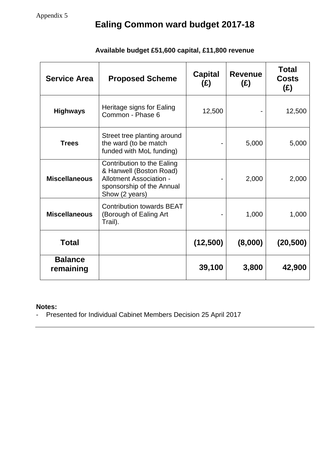| <b>Service Area</b>         | <b>Proposed Scheme</b>                                                                                                          | <b>Capital</b><br>(£) | <b>Revenue</b><br>(E) | <b>Total</b><br><b>Costs</b><br>(E) |
|-----------------------------|---------------------------------------------------------------------------------------------------------------------------------|-----------------------|-----------------------|-------------------------------------|
| <b>Highways</b>             | Heritage signs for Ealing<br>Common - Phase 6                                                                                   | 12,500                |                       | 12,500                              |
| <b>Trees</b>                | Street tree planting around<br>the ward (to be match<br>funded with MoL funding)                                                |                       | 5,000                 | 5,000                               |
| <b>Miscellaneous</b>        | Contribution to the Ealing<br>& Hanwell (Boston Road)<br>Allotment Association -<br>sponsorship of the Annual<br>Show (2 years) |                       | 2,000                 | 2,000                               |
| <b>Miscellaneous</b>        | <b>Contribution towards BEAT</b><br>(Borough of Ealing Art<br>Trail).                                                           |                       | 1,000                 | 1,000                               |
| Total                       |                                                                                                                                 | (12,500)              | (8,000)               | (20, 500)                           |
| <b>Balance</b><br>remaining |                                                                                                                                 | 39,100                | 3,800                 | 42,900                              |

## **Available budget £51,600 capital, £11,800 revenue**

## **Notes:**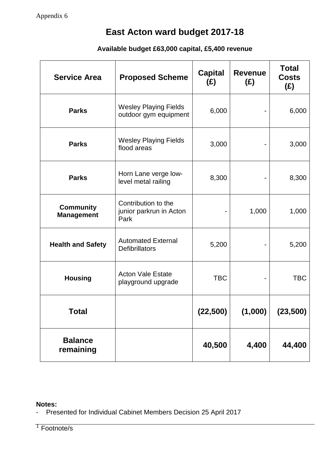## **Available budget £63,000 capital, £5,400 revenue**

| <b>Service Area</b>            | <b>Proposed Scheme</b>                                 | <b>Capital</b><br>(E) | <b>Revenue</b><br>(E) | <b>Total</b><br><b>Costs</b><br>(E) |
|--------------------------------|--------------------------------------------------------|-----------------------|-----------------------|-------------------------------------|
| Parks                          | <b>Wesley Playing Fields</b><br>outdoor gym equipment  | 6,000                 |                       | 6,000                               |
| Parks                          | <b>Wesley Playing Fields</b><br>flood areas            | 3,000                 |                       | 3,000                               |
| <b>Parks</b>                   | Horn Lane verge low-<br>level metal railing            | 8,300                 |                       | 8,300                               |
| Community<br><b>Management</b> | Contribution to the<br>junior parkrun in Acton<br>Park |                       | 1,000                 | 1,000                               |
| <b>Health and Safety</b>       | <b>Automated External</b><br><b>Defibrillators</b>     | 5,200                 |                       | 5,200                               |
| <b>Housing</b>                 | <b>Acton Vale Estate</b><br>playground upgrade         | <b>TBC</b>            |                       | <b>TBC</b>                          |
| Total                          |                                                        | (22,500)              | (1,000)               | (23,500)                            |
| <b>Balance</b><br>remaining    |                                                        | 40,500                | 4,400                 | 44,400                              |

#### **Notes:**

- Presented for Individual Cabinet Members Decision 25 April 2017

<sup>1</sup> Footnote/s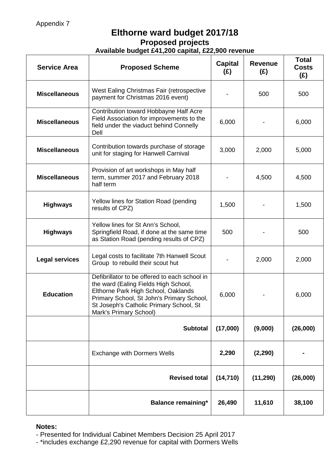## **Elthorne ward budget 2017/18 Proposed projects Available budget £41,200 capital, £22,900 revenue**

| <b>Service Area</b>   | <b>Proposed Scheme</b>                                                                                                                                                                                                                         | <b>Capital</b><br>(E) | <b>Revenue</b><br>(E) | <b>Total</b><br><b>Costs</b><br>(E) |
|-----------------------|------------------------------------------------------------------------------------------------------------------------------------------------------------------------------------------------------------------------------------------------|-----------------------|-----------------------|-------------------------------------|
| <b>Miscellaneous</b>  | West Ealing Christmas Fair (retrospective<br>payment for Christmas 2016 event)                                                                                                                                                                 |                       | 500                   | 500                                 |
| <b>Miscellaneous</b>  | Contribution toward Hobbayne Half Acre<br>Field Association for improvements to the<br>field under the viaduct behind Connelly<br>Dell                                                                                                         | 6,000                 |                       | 6,000                               |
| <b>Miscellaneous</b>  | Contribution towards purchase of storage<br>unit for staging for Hanwell Carnival                                                                                                                                                              | 3,000                 | 2,000                 | 5,000                               |
| <b>Miscellaneous</b>  | Provision of art workshops in May half<br>term, summer 2017 and February 2018<br>half term                                                                                                                                                     |                       | 4,500                 | 4,500                               |
| <b>Highways</b>       | Yellow lines for Station Road (pending<br>results of CPZ)                                                                                                                                                                                      | 1,500                 |                       | 1,500                               |
| <b>Highways</b>       | Yellow lines for St Ann's School,<br>Springfield Road, if done at the same time<br>as Station Road (pending results of CPZ)                                                                                                                    | 500                   |                       | 500                                 |
| <b>Legal services</b> | Legal costs to facilitate 7th Hanwell Scout<br>Group to rebuild their scout hut                                                                                                                                                                |                       | 2,000                 | 2,000                               |
| Education             | Defibrillator to be offered to each school in<br>the ward (Ealing Fields High School,<br>Elthorne Park High School, Oaklands<br>Primary School, St John's Primary School,<br>St Joseph's Catholic Primary School, St<br>Mark's Primary School) | 6,000                 |                       | 6,000                               |
|                       | <b>Subtotal</b>                                                                                                                                                                                                                                | (17,000)              | (9,000)               | (26,000)                            |
|                       | <b>Exchange with Dormers Wells</b>                                                                                                                                                                                                             | 2,290                 | (2, 290)              |                                     |
|                       | <b>Revised total</b>                                                                                                                                                                                                                           | (14, 710)             | (11, 290)             | (26,000)                            |
|                       | <b>Balance remaining*</b>                                                                                                                                                                                                                      | 26,490                | 11,610                | 38,100                              |

#### **Notes:**

- Presented for Individual Cabinet Members Decision 25 April 2017
- \*includes exchange £2,290 revenue for capital with Dormers Wells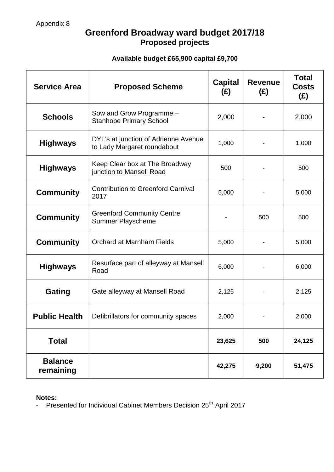## **Greenford Broadway ward budget 2017/18 Proposed projects**

## **Available budget £65,900 capital £9,700**

| <b>Service Area</b>         | <b>Proposed Scheme</b>                                              | <b>Capital</b><br>(E) | <b>Revenue</b><br>(E) | <b>Total</b><br><b>Costs</b><br>(E) |
|-----------------------------|---------------------------------------------------------------------|-----------------------|-----------------------|-------------------------------------|
| <b>Schools</b>              | Sow and Grow Programme -<br><b>Stanhope Primary School</b>          | 2,000                 |                       | 2,000                               |
| Highways                    | DYL's at junction of Adrienne Avenue<br>to Lady Margaret roundabout | 1,000                 |                       | 1,000                               |
| Highways                    | Keep Clear box at The Broadway<br>junction to Mansell Road          | 500                   |                       | 500                                 |
| <b>Community</b>            | <b>Contribution to Greenford Carnival</b><br>2017                   | 5,000                 |                       | 5,000                               |
| Community                   | <b>Greenford Community Centre</b><br>Summer Playscheme              |                       | 500                   | 500                                 |
| Community                   | Orchard at Marnham Fields                                           | 5,000                 |                       | 5,000                               |
| Highways                    | Resurface part of alleyway at Mansell<br>Road                       | 6,000                 |                       | 6,000                               |
| Gating                      | Gate alleyway at Mansell Road                                       | 2,125                 |                       | 2,125                               |
| <b>Public Health</b>        | Defibrillators for community spaces                                 | 2,000                 |                       | 2,000                               |
| Total                       |                                                                     | 23,625                | 500                   | 24,125                              |
| <b>Balance</b><br>remaining |                                                                     | 42,275                | 9,200                 | 51,475                              |

**Notes:**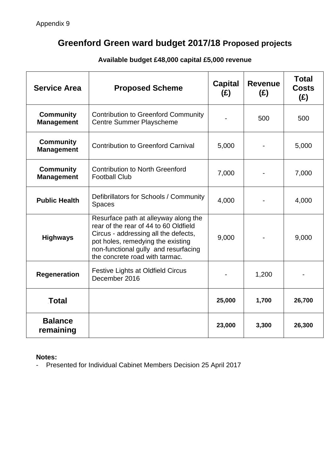## **Greenford Green ward budget 2017/18 Proposed projects**

| <b>Service Area</b>            | <b>Proposed Scheme</b>                                                                                                                                                                                                               | <b>Capital</b><br>(E) | <b>Revenue</b><br>(E) | <b>Total</b><br><b>Costs</b><br>(E) |
|--------------------------------|--------------------------------------------------------------------------------------------------------------------------------------------------------------------------------------------------------------------------------------|-----------------------|-----------------------|-------------------------------------|
| Community<br><b>Management</b> | <b>Contribution to Greenford Community</b><br><b>Centre Summer Playscheme</b>                                                                                                                                                        |                       | 500                   | 500                                 |
| Community<br><b>Management</b> | <b>Contribution to Greenford Carnival</b>                                                                                                                                                                                            | 5,000                 |                       | 5,000                               |
| Community<br><b>Management</b> | <b>Contribution to North Greenford</b><br><b>Football Club</b>                                                                                                                                                                       | 7,000                 |                       | 7,000                               |
| <b>Public Health</b>           | Defibrillators for Schools / Community<br>Spaces                                                                                                                                                                                     | 4,000                 |                       | 4,000                               |
| <b>Highways</b>                | Resurface path at alleyway along the<br>rear of the rear of 44 to 60 Oldfield<br>Circus - addressing all the defects,<br>pot holes, remedying the existing<br>non-functional gully and resurfacing<br>the concrete road with tarmac. | 9,000                 |                       | 9,000                               |
| Regeneration                   | <b>Festive Lights at Oldfield Circus</b><br>December 2016                                                                                                                                                                            |                       | 1,200                 |                                     |
| Total                          |                                                                                                                                                                                                                                      | 25,000                | 1,700                 | 26,700                              |
| <b>Balance</b><br>remaining    |                                                                                                                                                                                                                                      | 23,000                | 3,300                 | 26,300                              |

## **Available budget £48,000 capital £5,000 revenue**

### **Notes:**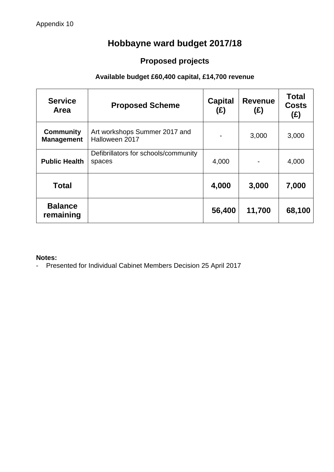# **Hobbayne ward budget 2017/18**

# **Proposed projects**

## **Available budget £60,400 capital, £14,700 revenue**

| <b>Service</b><br>Area         | <b>Proposed Scheme</b>                          | <b>Capital</b><br>(E) | <b>Revenue</b><br>(E) | <b>Total</b><br><b>Costs</b><br>(E) |
|--------------------------------|-------------------------------------------------|-----------------------|-----------------------|-------------------------------------|
| Community<br><b>Management</b> | Art workshops Summer 2017 and<br>Halloween 2017 |                       | 3,000                 | 3,000                               |
| <b>Public Health</b>           | Defibrillators for schools/community<br>spaces  | 4,000                 |                       | 4,000                               |
| Total                          |                                                 | 4,000                 | 3,000                 | 7,000                               |
| <b>Balance</b><br>remaining    |                                                 | 56,400                | 11,700                | 68,100                              |

#### **Notes:**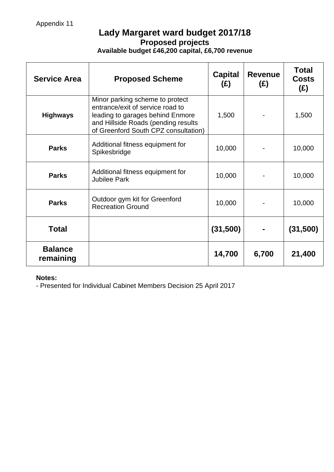## **Lady Margaret ward budget 2017/18 Proposed projects Available budget £46,200 capital, £6,700 revenue**

| <b>Service Area</b>         | <b>Proposed Scheme</b>                                                                                                                                                                 | <b>Capital</b><br>(E) | <b>Revenue</b><br>(E) | <b>Total</b><br><b>Costs</b><br>(E) |
|-----------------------------|----------------------------------------------------------------------------------------------------------------------------------------------------------------------------------------|-----------------------|-----------------------|-------------------------------------|
| <b>Highways</b>             | Minor parking scheme to protect<br>entrance/exit of service road to<br>leading to garages behind Enmore<br>and Hillside Roads (pending results<br>of Greenford South CPZ consultation) | 1,500                 |                       | 1,500                               |
| <b>Parks</b>                | Additional fitness equipment for<br>Spikesbridge                                                                                                                                       | 10,000                |                       | 10,000                              |
| <b>Parks</b>                | Additional fitness equipment for<br><b>Jubilee Park</b>                                                                                                                                | 10,000                |                       | 10,000                              |
| Parks                       | Outdoor gym kit for Greenford<br><b>Recreation Ground</b>                                                                                                                              | 10,000                |                       | 10,000                              |
| Total                       |                                                                                                                                                                                        | (31,500)              |                       | (31,500)                            |
| <b>Balance</b><br>remaining |                                                                                                                                                                                        | 14,700                | 6,700                 | 21,400                              |

#### **Notes:**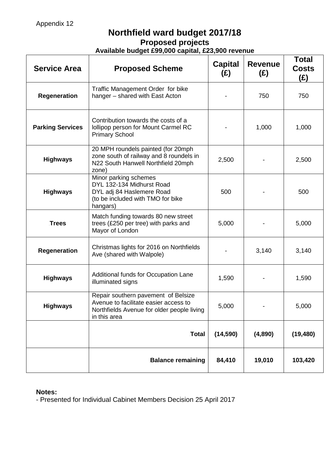## **Northfield ward budget 2017/18 Proposed projects Available budget £99,000 capital, £23,900 revenue**

| <b>Service Area</b>     | <b>Proposed Scheme</b>                                                                                                                     | <b>Capital</b><br>(E) | <b>Revenue</b><br>(E) | <b>Total</b><br><b>Costs</b><br>(£) |
|-------------------------|--------------------------------------------------------------------------------------------------------------------------------------------|-----------------------|-----------------------|-------------------------------------|
| Regeneration            | Traffic Management Order for bike<br>hanger - shared with East Acton                                                                       |                       | 750                   | 750                                 |
| <b>Parking Services</b> | Contribution towards the costs of a<br>lollipop person for Mount Carmel RC<br><b>Primary School</b>                                        |                       | 1,000                 | 1,000                               |
| <b>Highways</b>         | 20 MPH roundels painted (for 20mph<br>zone south of railway and 8 roundels in<br>N22 South Hanwell Northfield 20mph<br>zone)               | 2,500                 |                       | 2,500                               |
| Highways                | Minor parking schemes<br>DYL 132-134 Midhurst Road<br>DYL adj 84 Haslemere Road<br>(to be included with TMO for bike<br>hangars)           | 500                   |                       | 500                                 |
| Trees                   | Match funding towards 80 new street<br>trees (£250 per tree) with parks and<br>Mayor of London                                             | 5,000                 |                       | 5,000                               |
| <b>Regeneration</b>     | Christmas lights for 2016 on Northfields<br>Ave (shared with Walpole)                                                                      |                       | 3,140                 | 3,140                               |
| Highways                | Additional funds for Occupation Lane<br>illuminated signs                                                                                  | 1,590                 |                       | 1,590                               |
| Highways                | Repair southern pavement of Belsize<br>Avenue to facilitate easier access to<br>Northfields Avenue for older people living<br>in this area | 5,000                 |                       | 5,000                               |
|                         | Total                                                                                                                                      | (14, 590)             | (4,890)               | (19, 480)                           |
|                         | <b>Balance remaining</b>                                                                                                                   | 84,410                | 19,010                | 103,420                             |

## **Notes:**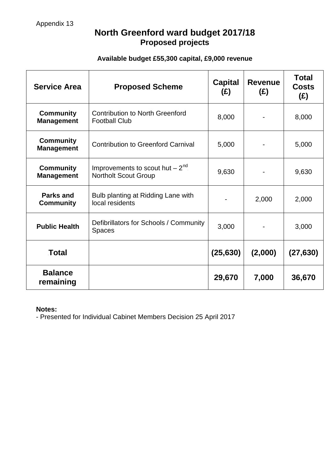## **North Greenford ward budget 2017/18 Proposed projects**

## **Available budget £55,300 capital, £9,000 revenue**

| <b>Service Area</b>            | <b>Proposed Scheme</b>                                             | <b>Capital</b><br>(E) | <b>Revenue</b><br>(E) | <b>Total</b><br><b>Costs</b><br>(E) |
|--------------------------------|--------------------------------------------------------------------|-----------------------|-----------------------|-------------------------------------|
| Community<br><b>Management</b> | <b>Contribution to North Greenford</b><br><b>Football Club</b>     | 8,000                 |                       | 8,000                               |
| Community<br><b>Management</b> | <b>Contribution to Greenford Carnival</b>                          | 5,000                 |                       | 5,000                               |
| Community<br><b>Management</b> | Improvements to scout hut $-2^{nd}$<br><b>Northolt Scout Group</b> | 9,630                 |                       | 9,630                               |
| Parks and<br><b>Community</b>  | Bulb planting at Ridding Lane with<br>local residents              |                       | 2,000                 | 2,000                               |
| <b>Public Health</b>           | Defibrillators for Schools / Community<br><b>Spaces</b>            | 3,000                 |                       | 3,000                               |
| Total                          |                                                                    | (25, 630)             | (2,000)               | (27, 630)                           |
| <b>Balance</b><br>remaining    |                                                                    | 29,670                | 7,000                 | 36,670                              |

#### **Notes:**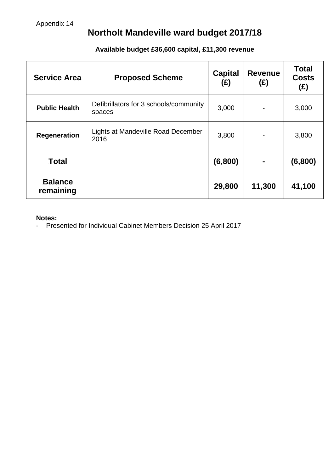# **Northolt Mandeville ward budget 2017/18**

| <b>Service Area</b>         | <b>Proposed Scheme</b>                           | <b>Capital</b><br>(£) | <b>Revenue</b><br>(E) | <b>Total</b><br><b>Costs</b><br>(E) |
|-----------------------------|--------------------------------------------------|-----------------------|-----------------------|-------------------------------------|
| <b>Public Health</b>        | Defibrillators for 3 schools/community<br>spaces | 3,000                 |                       | 3,000                               |
| Regeneration                | Lights at Mandeville Road December<br>2016       | 3,800                 |                       | 3,800                               |
| Total                       |                                                  | (6,800)               | ٠                     | (6,800)                             |
| <b>Balance</b><br>remaining |                                                  | 29,800                | 11,300                | 41,100                              |

## **Available budget £36,600 capital, £11,300 revenue**

#### **Notes:**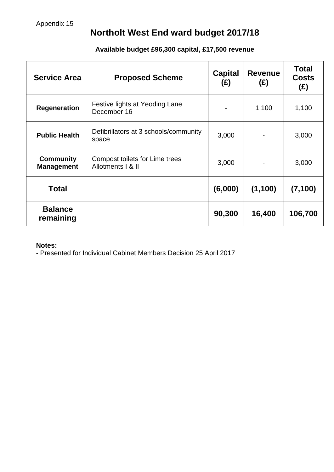## **Northolt West End ward budget 2017/18**

## **Available budget £96,300 capital, £17,500 revenue**

| <b>Service Area</b>            | <b>Proposed Scheme</b>                              | <b>Capital</b><br>(E) | <b>Revenue</b><br>(E) | <b>Total</b><br><b>Costs</b><br>(E) |
|--------------------------------|-----------------------------------------------------|-----------------------|-----------------------|-------------------------------------|
| <b>Regeneration</b>            | Festive lights at Yeoding Lane<br>December 16       |                       | 1,100                 | 1,100                               |
| <b>Public Health</b>           | Defibrillators at 3 schools/community<br>space      | 3,000                 |                       | 3,000                               |
| Community<br><b>Management</b> | Compost toilets for Lime trees<br>Allotments   & II | 3,000                 |                       | 3,000                               |
| Total                          |                                                     | (6,000)               | (1, 100)              | (7, 100)                            |
| <b>Balance</b><br>remaining    |                                                     | 90,300                | 16,400                | 106,700                             |

#### **Notes:**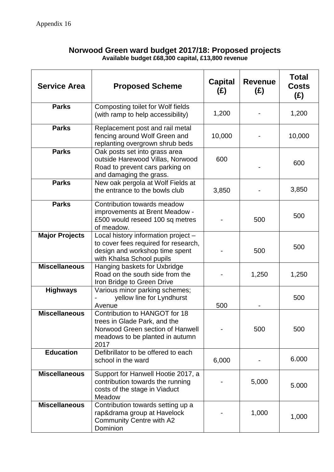### **Norwood Green ward budget 2017/18: Proposed projects Available budget £68,300 capital, £13,800 revenue**

| <b>Service Area</b>   | <b>Proposed Scheme</b>                                                                                                                       | <b>Capital</b><br>(E) | <b>Revenue</b><br>(E) | <b>Total</b><br><b>Costs</b><br>(E) |
|-----------------------|----------------------------------------------------------------------------------------------------------------------------------------------|-----------------------|-----------------------|-------------------------------------|
| <b>Parks</b>          | Composting toilet for Wolf fields<br>(with ramp to help accessibility)                                                                       | 1,200                 |                       | 1,200                               |
| <b>Parks</b>          | Replacement post and rail metal<br>fencing around Wolf Green and<br>replanting overgrown shrub beds                                          | 10,000                |                       | 10,000                              |
| <b>Parks</b>          | Oak posts set into grass area<br>outside Harewood Villas, Norwood<br>Road to prevent cars parking on<br>and damaging the grass.              | 600                   |                       | 600                                 |
| <b>Parks</b>          | New oak pergola at Wolf Fields at<br>the entrance to the bowls club                                                                          | 3,850                 |                       | 3,850                               |
| <b>Parks</b>          | Contribution towards meadow<br>improvements at Brent Meadow -<br>£500 would reseed 100 sq metres<br>of meadow.                               |                       | 500                   | 500                                 |
| <b>Major Projects</b> | Local history information project -<br>to cover fees required for research,<br>design and workshop time spent<br>with Khalsa School pupils   |                       | 500                   | 500                                 |
| <b>Miscellaneous</b>  | Hanging baskets for Uxbridge<br>Road on the south side from the<br>Iron Bridge to Green Drive                                                |                       | 1,250                 | 1,250                               |
| <b>Highways</b>       | Various minor parking schemes;<br>yellow line for Lyndhurst<br>Avenue                                                                        | 500                   |                       | 500                                 |
| <b>Miscellaneous</b>  | Contribution to HANGOT for 18<br>trees in Glade Park, and the<br>Norwood Green section of Hanwell<br>meadows to be planted in autumn<br>2017 |                       | 500                   | 500                                 |
| <b>Education</b>      | Defibrillator to be offered to each<br>school in the ward                                                                                    | 6,000                 |                       | 6.000                               |
| <b>Miscellaneous</b>  | Support for Hanwell Hootie 2017, a<br>contribution towards the running<br>costs of the stage in Viaduct<br>Meadow                            |                       | 5,000                 | 5.000                               |
| <b>Miscellaneous</b>  | Contribution towards setting up a<br>rap&drama group at Havelock<br><b>Community Centre with A2</b><br>Dominion                              |                       | 1,000                 | 1,000                               |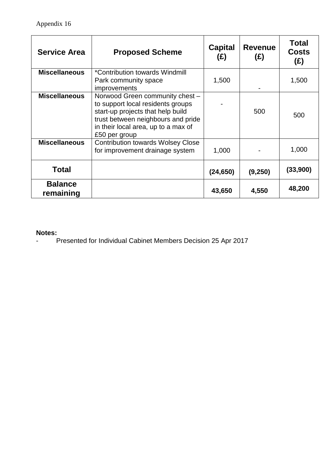| <b>Service Area</b>         | <b>Proposed Scheme</b>                                                                                                                                                                                  | <b>Capital</b><br>(E) | <b>Revenue</b><br>(E) | <b>Total</b><br><b>Costs</b><br>(E) |
|-----------------------------|---------------------------------------------------------------------------------------------------------------------------------------------------------------------------------------------------------|-----------------------|-----------------------|-------------------------------------|
| <b>Miscellaneous</b>        | *Contribution towards Windmill<br>Park community space<br><i>improvements</i>                                                                                                                           | 1,500                 |                       | 1,500                               |
| <b>Miscellaneous</b>        | Norwood Green community chest -<br>to support local residents groups<br>start-up projects that help build<br>trust between neighbours and pride<br>in their local area, up to a max of<br>£50 per group |                       | 500                   | 500                                 |
| <b>Miscellaneous</b>        | <b>Contribution towards Wolsey Close</b><br>for improvement drainage system                                                                                                                             | 1,000                 |                       | 1,000                               |
| Total                       |                                                                                                                                                                                                         | (24, 650)             | (9,250)               | (33,900)                            |
| <b>Balance</b><br>remaining |                                                                                                                                                                                                         | 43,650                | 4,550                 | 48,200                              |

### **Notes:**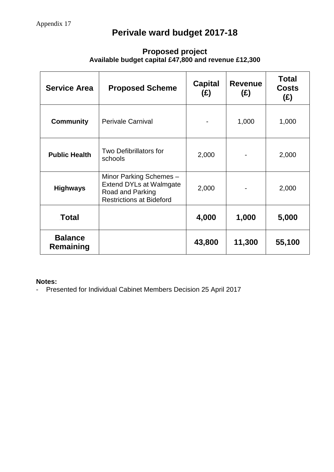# **Perivale ward budget 2017-18**

| <b>Service Area</b>         | <b>Proposed Scheme</b>                                                                                           | <b>Capital</b><br>(E) | <b>Revenue</b><br>(E) | <b>Total</b><br><b>Costs</b><br>(E) |
|-----------------------------|------------------------------------------------------------------------------------------------------------------|-----------------------|-----------------------|-------------------------------------|
| Community                   | <b>Perivale Carnival</b>                                                                                         |                       | 1,000                 | 1,000                               |
| <b>Public Health</b>        | Two Defibrillators for<br>schools                                                                                | 2,000                 |                       | 2,000                               |
| <b>Highways</b>             | Minor Parking Schemes -<br><b>Extend DYLs at Walmgate</b><br>Road and Parking<br><b>Restrictions at Bideford</b> | 2,000                 |                       | 2,000                               |
| Total                       |                                                                                                                  | 4,000                 | 1,000                 | 5,000                               |
| <b>Balance</b><br>Remaining |                                                                                                                  | 43,800                | 11,300                | 55,100                              |

## **Proposed project Available budget capital £47,800 and revenue £12,300**

#### **Notes:**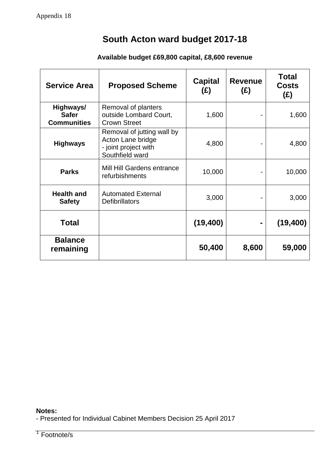# **South Acton ward budget 2017-18**

## **Available budget £69,800 capital, £8,600 revenue**

| <b>Service Area</b>                             | <b>Proposed Scheme</b>                                                                     | <b>Capital</b><br>(£) | <b>Revenue</b><br>(E) | <b>Total</b><br><b>Costs</b><br>(E) |
|-------------------------------------------------|--------------------------------------------------------------------------------------------|-----------------------|-----------------------|-------------------------------------|
| Highways/<br><b>Safer</b><br><b>Communities</b> | Removal of planters<br>outside Lombard Court,<br><b>Crown Street</b>                       | 1,600                 |                       | 1,600                               |
| <b>Highways</b>                                 | Removal of jutting wall by<br>Acton Lane bridge<br>- joint project with<br>Southfield ward | 4,800                 |                       | 4,800                               |
| <b>Parks</b>                                    | Mill Hill Gardens entrance<br>refurbishments                                               | 10,000                |                       | 10,000                              |
| <b>Health and</b><br><b>Safety</b>              | <b>Automated External</b><br><b>Defibrillators</b>                                         | 3,000                 |                       | 3,000                               |
| Total                                           |                                                                                            | (19, 400)             |                       | (19, 400)                           |
| <b>Balance</b><br>remaining                     |                                                                                            | 50,400                | 8,600                 | 59,000                              |

### **Notes:**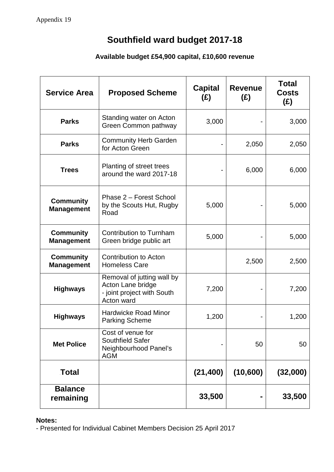# **Southfield ward budget 2017-18**

## **Available budget £54,900 capital, £10,600 revenue**

| <b>Service Area</b>                   | <b>Proposed Scheme</b>                                                                      | <b>Capital</b><br>(E) | <b>Revenue</b><br>(E) | <b>Total</b><br><b>Costs</b><br>(E) |
|---------------------------------------|---------------------------------------------------------------------------------------------|-----------------------|-----------------------|-------------------------------------|
| Parks                                 | Standing water on Acton<br>Green Common pathway                                             | 3,000                 |                       | 3,000                               |
| Parks                                 | <b>Community Herb Garden</b><br>for Acton Green                                             |                       | 2,050                 | 2,050                               |
| <b>Trees</b>                          | Planting of street trees<br>around the ward 2017-18                                         |                       | 6,000                 | 6,000                               |
| <b>Community</b><br><b>Management</b> | Phase 2 – Forest School<br>by the Scouts Hut, Rugby<br>Road                                 | 5,000                 |                       | 5,000                               |
| <b>Community</b><br><b>Management</b> | Contribution to Turnham<br>Green bridge public art                                          | 5,000                 |                       | 5,000                               |
| <b>Community</b><br><b>Management</b> | <b>Contribution to Acton</b><br><b>Homeless Care</b>                                        |                       | 2,500                 | 2,500                               |
| <b>Highways</b>                       | Removal of jutting wall by<br>Acton Lane bridge<br>- joint project with South<br>Acton ward | 7,200                 |                       | 7,200                               |
| <b>Highways</b>                       | <b>Hardwicke Road Minor</b><br><b>Parking Scheme</b>                                        | 1,200                 |                       | 1,200                               |
| <b>Met Police</b>                     | Cost of venue for<br>Southfield Safer<br>Neighbourhood Panel's<br><b>AGM</b>                |                       | 50                    | 50                                  |
| Total                                 |                                                                                             | (21, 400)             | (10, 600)             | (32,000)                            |
| <b>Balance</b><br>remaining           |                                                                                             | 33,500                |                       | 33,500                              |

### **Notes:**